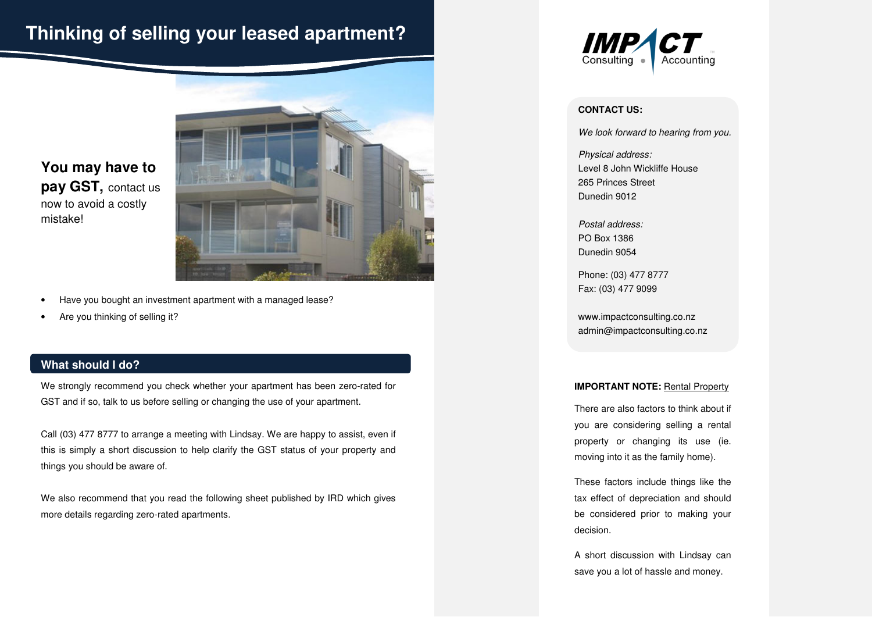# **Thinking of selling your leased apartment?**

**You may have to pay GST,** contact us now to avoid a costly mistake!



- Have you bought an investment apartment with a managed lease?
- Are you thinking of selling it?

#### **What should I do?**

We strongly recommend you check whether your apartment has been zero-rated for GST and if so, talk to us before selling or changing the use of your apartment.

Call (03) 477 8777 to arrange a meeting with Lindsay. We are happy to assist, even if this is simply a short discussion to help clarify the GST status of your property and things you should be aware of.

We also recommend that you read the following sheet published by IRD which gives more details regarding zero-rated apartments.



#### **CONTACT US:**

We look forward to hearing from you.

Physical address: Level 8 John Wickliffe House 265 Princes Street Dunedin 9012

Postal address: PO Box 1386 Dunedin 9054

Phone: (03) 477 8777 Fax: (03) 477 9099

www.impactconsulting.co.nz admin@impactconsulting.co.nz

#### **IMPORTANT NOTE:** Rental Property

There are also factors to think about if you are considering selling a rental property or changing its use (ie. moving into it as the family home).

These factors include things like the tax effect of depreciation and should be considered prior to making your decision.

A short discussion with Lindsay can save you a lot of hassle and money.